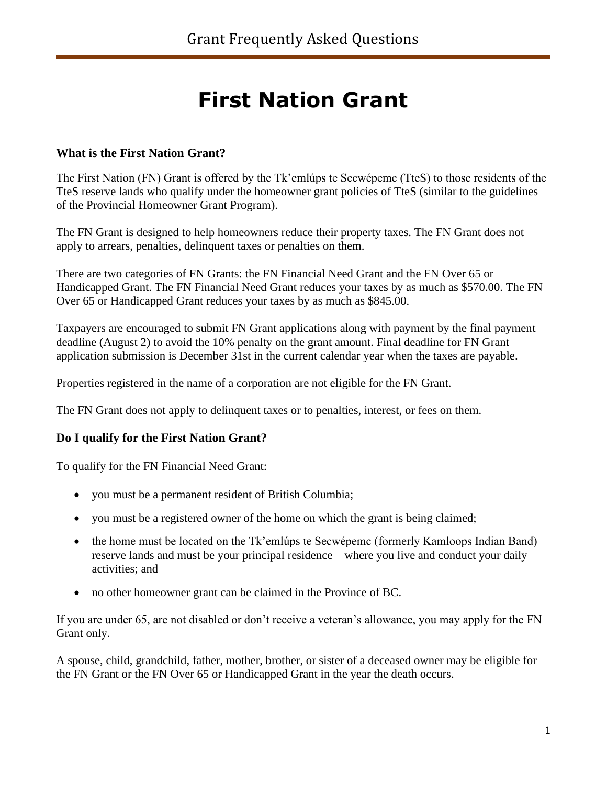# **First Nation Grant**

## **What is the First Nation Grant?**

The First Nation (FN) Grant is offered by the Tk'emlúps te Secwépemc (TteS) to those residents of the TteS reserve lands who qualify under the homeowner grant policies of TteS (similar to the guidelines of the Provincial Homeowner Grant Program).

The FN Grant is designed to help homeowners reduce their property taxes. The FN Grant does not apply to arrears, penalties, delinquent taxes or penalties on them.

There are two categories of FN Grants: the FN Financial Need Grant and the FN Over 65 or Handicapped Grant. The FN Financial Need Grant reduces your taxes by as much as \$570.00. The FN Over 65 or Handicapped Grant reduces your taxes by as much as \$845.00.

Taxpayers are encouraged to submit FN Grant applications along with payment by the final payment deadline (August 2) to avoid the 10% penalty on the grant amount. Final deadline for FN Grant application submission is December 31st in the current calendar year when the taxes are payable.

Properties registered in the name of a corporation are not eligible for the FN Grant.

The FN Grant does not apply to delinquent taxes or to penalties, interest, or fees on them.

# **Do I qualify for the First Nation Grant?**

To qualify for the FN Financial Need Grant:

- you must be a permanent resident of British Columbia;
- you must be a registered owner of the home on which the grant is being claimed;
- the home must be located on the Tk'emlúps te Secwépemc (formerly Kamloops Indian Band) reserve lands and must be your principal residence—where you live and conduct your daily activities; and
- no other homeowner grant can be claimed in the Province of BC.

If you are under 65, are not disabled or don't receive a veteran's allowance, you may apply for the FN Grant only.

A spouse, child, grandchild, father, mother, brother, or sister of a deceased owner may be eligible for the FN Grant or the FN Over 65 or Handicapped Grant in the year the death occurs.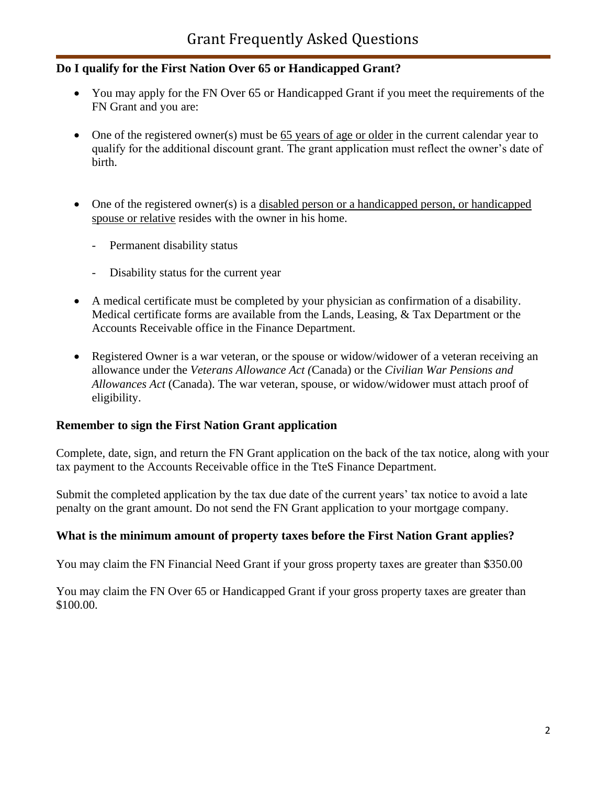# **Do I qualify for the First Nation Over 65 or Handicapped Grant?**

- You may apply for the FN Over 65 or Handicapped Grant if you meet the requirements of the FN Grant and you are:
- One of the registered owner(s) must be 65 years of age or older in the current calendar year to qualify for the additional discount grant. The grant application must reflect the owner's date of birth.
- One of the registered owner(s) is a disabled person or a handicapped person, or handicapped spouse or relative resides with the owner in his home.
	- Permanent disability status
	- Disability status for the current year
- A medical certificate must be completed by your physician as confirmation of a disability. Medical certificate forms are available from the Lands, Leasing, & Tax Department or the Accounts Receivable office in the Finance Department.
- Registered Owner is a war veteran, or the spouse or widow/widower of a veteran receiving an allowance under the *Veterans Allowance Act (*Canada) or the *Civilian War Pensions and Allowances Act* (Canada). The war veteran, spouse, or widow/widower must attach proof of eligibility.

# **Remember to sign the First Nation Grant application**

Complete, date, sign, and return the FN Grant application on the back of the tax notice, along with your tax payment to the Accounts Receivable office in the TteS Finance Department.

Submit the completed application by the tax due date of the current years' tax notice to avoid a late penalty on the grant amount. Do not send the FN Grant application to your mortgage company.

# **What is the minimum amount of property taxes before the First Nation Grant applies?**

You may claim the FN Financial Need Grant if your gross property taxes are greater than \$350.00

You may claim the FN Over 65 or Handicapped Grant if your gross property taxes are greater than \$100.00.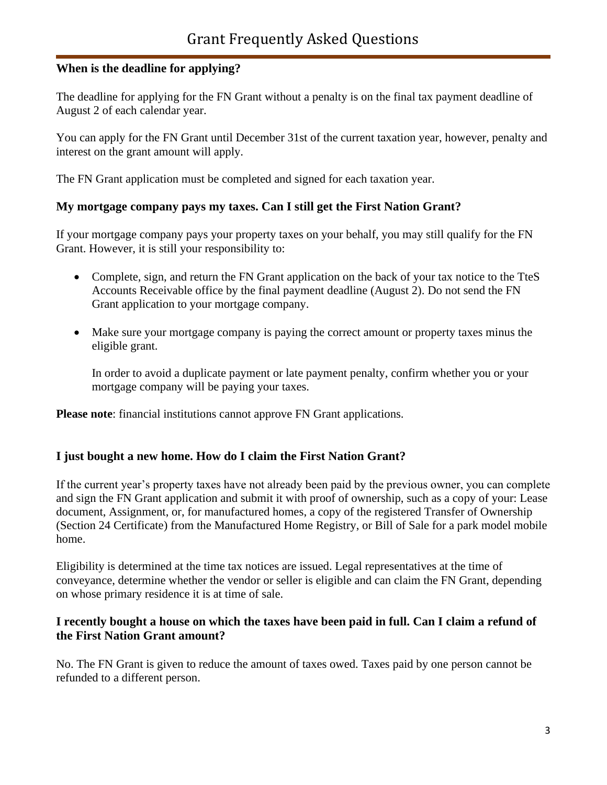## **When is the deadline for applying?**

The deadline for applying for the FN Grant without a penalty is on the final tax payment deadline of August 2 of each calendar year.

You can apply for the FN Grant until December 31st of the current taxation year, however, penalty and interest on the grant amount will apply.

The FN Grant application must be completed and signed for each taxation year.

#### **My mortgage company pays my taxes. Can I still get the First Nation Grant?**

If your mortgage company pays your property taxes on your behalf, you may still qualify for the FN Grant. However, it is still your responsibility to:

- Complete, sign, and return the FN Grant application on the back of your tax notice to the TteS Accounts Receivable office by the final payment deadline (August 2). Do not send the FN Grant application to your mortgage company.
- Make sure your mortgage company is paying the correct amount or property taxes minus the eligible grant.

In order to avoid a duplicate payment or late payment penalty, confirm whether you or your mortgage company will be paying your taxes.

**Please note**: financial institutions cannot approve FN Grant applications.

#### **I just bought a new home. How do I claim the First Nation Grant?**

If the current year's property taxes have not already been paid by the previous owner, you can complete and sign the FN Grant application and submit it with proof of ownership, such as a copy of your: Lease document, Assignment, or, for manufactured homes, a copy of the registered Transfer of Ownership (Section 24 Certificate) from the Manufactured Home Registry, or Bill of Sale for a park model mobile home.

Eligibility is determined at the time tax notices are issued. Legal representatives at the time of conveyance, determine whether the vendor or seller is eligible and can claim the FN Grant, depending on whose primary residence it is at time of sale.

#### **I recently bought a house on which the taxes have been paid in full. Can I claim a refund of the First Nation Grant amount?**

No. The FN Grant is given to reduce the amount of taxes owed. Taxes paid by one person cannot be refunded to a different person.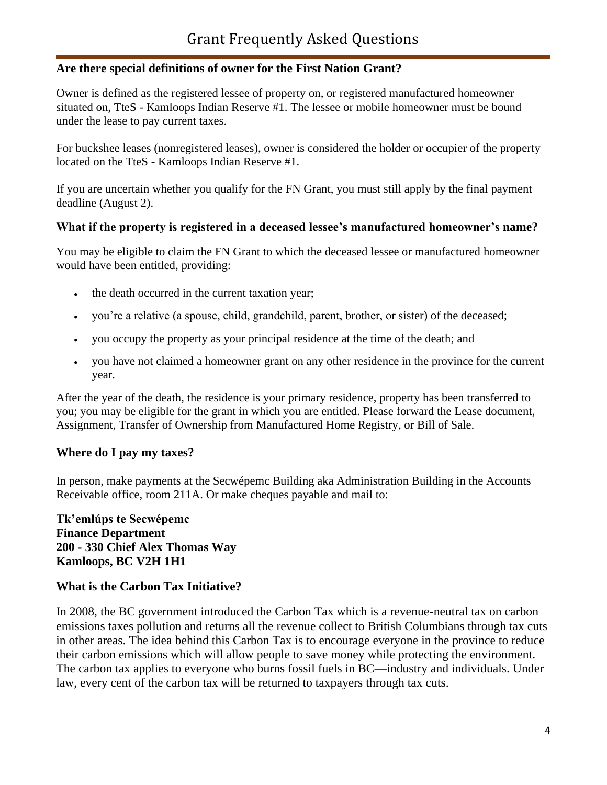#### **Are there special definitions of owner for the First Nation Grant?**

Owner is defined as the registered lessee of property on, or registered manufactured homeowner situated on, TteS - Kamloops Indian Reserve #1. The lessee or mobile homeowner must be bound under the lease to pay current taxes.

For buckshee leases (nonregistered leases), owner is considered the holder or occupier of the property located on the TteS - Kamloops Indian Reserve #1.

If you are uncertain whether you qualify for the FN Grant, you must still apply by the final payment deadline (August 2).

#### **What if the property is registered in a deceased lessee's manufactured homeowner's name?**

You may be eligible to claim the FN Grant to which the deceased lessee or manufactured homeowner would have been entitled, providing:

- the death occurred in the current taxation year;
- you're a relative (a spouse, child, grandchild, parent, brother, or sister) of the deceased;
- you occupy the property as your principal residence at the time of the death; and
- you have not claimed a homeowner grant on any other residence in the province for the current year.

After the year of the death, the residence is your primary residence, property has been transferred to you; you may be eligible for the grant in which you are entitled. Please forward the Lease document, Assignment, Transfer of Ownership from Manufactured Home Registry, or Bill of Sale.

#### **Where do I pay my taxes?**

In person, make payments at the Secwépemc Building aka Administration Building in the Accounts Receivable office, room 211A. Or make cheques payable and mail to:

## **Tk'emlúps te Secwépemc Finance Department 200 - 330 Chief Alex Thomas Way Kamloops, BC V2H 1H1**

#### **What is the Carbon Tax Initiative?**

In 2008, the BC government introduced the Carbon Tax which is a revenue-neutral tax on carbon emissions taxes pollution and returns all the revenue collect to British Columbians through tax cuts in other areas. The idea behind this Carbon Tax is to encourage everyone in the province to reduce their carbon emissions which will allow people to save money while protecting the environment. The carbon tax applies to everyone who burns fossil fuels in BC—industry and individuals. Under law, every cent of the carbon tax will be returned to taxpayers through tax cuts.